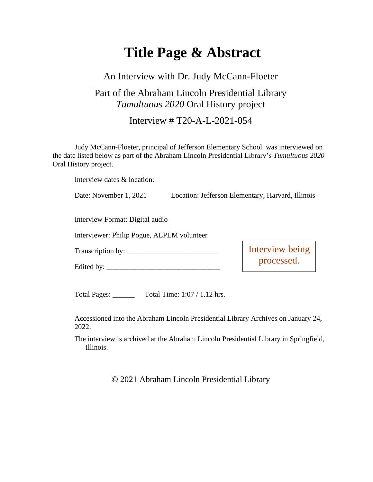# **Title Page & Abstract**

#### An Interview with Dr. Judy McCann-Floeter

## Part of the Abraham Lincoln Presidential Library *Tumultuous 2020* Oral History project

Interview # T20-A-L-2021-054

Judy McCann-Floeter, principal of Jefferson Elementary School. was interviewed on the date listed below as part of the Abraham Lincoln Presidential Library's *Tumultuous 2020* Oral History project.

Interview dates & location:

Date: November 1, 2021 Location: Jefferson Elementary, Harvard, Illinois

Interview Format: Digital audio

Interviewer: Philip Pogue, ALPLM volunteer

Transcription by: \_\_\_\_\_\_\_\_\_\_\_\_\_\_\_\_\_\_\_\_\_\_\_\_\_

Edited by: \_\_\_\_\_\_\_\_\_\_\_\_\_\_\_\_\_\_\_\_\_\_\_\_\_\_\_\_\_\_\_

Interview being processed.

Total Pages: Total Time: 1:07 / 1.12 hrs.

Accessioned into the Abraham Lincoln Presidential Library Archives on January 24, 2022.

The interview is archived at the Abraham Lincoln Presidential Library in Springfield, Illinois.

© 2021 Abraham Lincoln Presidential Library